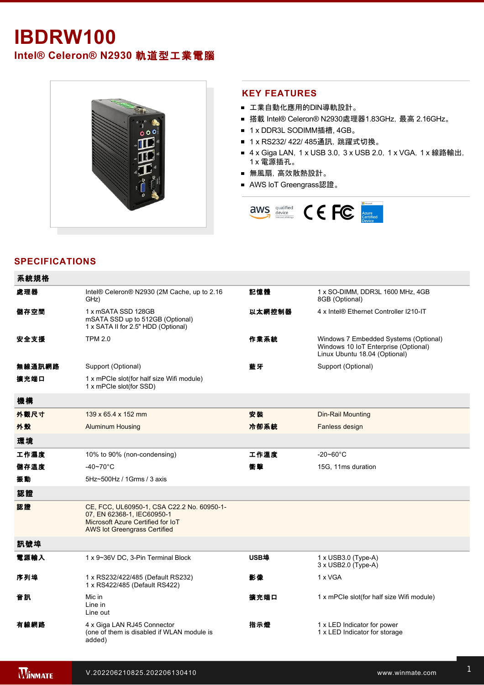# **IBDRW100**

**Intel® Celeron® N2930** 軌道型工業電腦



#### **KEY FEATURES**

- 工業自動化應用的DIN導軌設計。
- 搭載 Intel® Celeron® N2930處理器1.83GHz, 最高 2.16GHz。
- 1 x DDR3L SODIMM插槽, 4GB。
- 1 x RS232/ 422/ 485通訊, 跳躍式切換。
- 4 x Giga LAN, 1 x USB 3.0, 3 x USB 2.0, 1 x VGA, 1 x 線路輸出, 1 x 電源插孔。
- 無風扇,高效散熱設計。
- AWS loT Greengrass認證。



## **SPECIFICATIONS**

| 系統規格   |                                                                                                                                               |        |                                                                                                                |
|--------|-----------------------------------------------------------------------------------------------------------------------------------------------|--------|----------------------------------------------------------------------------------------------------------------|
| 處理器    | Intel® Celeron® N2930 (2M Cache, up to 2.16<br>GHz)                                                                                           | 記憶體    | 1 x SO-DIMM, DDR3L 1600 MHz, 4GB<br>8GB (Optional)                                                             |
| 儲存空間   | 1 x mSATA SSD 128GB<br>mSATA SSD up to 512GB (Optional)<br>1 x SATA II for 2.5" HDD (Optional)                                                | 以太網控制器 | 4 x Intel® Ethernet Controller I210-IT                                                                         |
| 安全支援   | <b>TPM 2.0</b>                                                                                                                                | 作業系統   | Windows 7 Embedded Systems (Optional)<br>Windows 10 IoT Enterprise (Optional)<br>Linux Ubuntu 18.04 (Optional) |
| 無線通訊網路 | Support (Optional)                                                                                                                            | 藍牙     | Support (Optional)                                                                                             |
| 擴充端口   | 1 x mPCIe slot(for half size Wifi module)<br>1 x mPCle slot(for SSD)                                                                          |        |                                                                                                                |
| 機構     |                                                                                                                                               |        |                                                                                                                |
| 外觀尺寸   | 139 x 65.4 x 152 mm                                                                                                                           | 安装     | <b>Din-Rail Mounting</b>                                                                                       |
| 外殼     | <b>Aluminum Housing</b>                                                                                                                       | 冷卻系統   | Fanless design                                                                                                 |
| 環境     |                                                                                                                                               |        |                                                                                                                |
| 工作濕度   | 10% to 90% (non-condensing)                                                                                                                   | 工作溫度   | $-20 - 60^{\circ}$ C                                                                                           |
| 儲存溫度   | $-40 - 70$ °C                                                                                                                                 | 衝撃     | 15G, 11ms duration                                                                                             |
| 振動     | 5Hz~500Hz / 1Grms / 3 axis                                                                                                                    |        |                                                                                                                |
| 認證     |                                                                                                                                               |        |                                                                                                                |
| 認證     | CE, FCC, UL60950-1, CSA C22.2 No. 60950-1-<br>07, EN 62368-1, IEC60950-1<br>Microsoft Azure Certified for IoT<br>AWS lot Greengrass Certified |        |                                                                                                                |
| 訊號埠    |                                                                                                                                               |        |                                                                                                                |
| 電源輸入   | 1 x 9~36V DC, 3-Pin Terminal Block                                                                                                            | USB埠   | 1 x USB3.0 (Type-A)<br>3 x USB2.0 (Type-A)                                                                     |
| 序列埠    | 1 x RS232/422/485 (Default RS232)<br>1 x RS422/485 (Default RS422)                                                                            | 影像     | 1 x VGA                                                                                                        |
| 音訊     | Mic in<br>Line in<br>Line out                                                                                                                 | 擴充端口   | 1 x mPCle slot(for half size Wifi module)                                                                      |
| 有線網路   | 4 x Giga LAN RJ45 Connector<br>(one of them is disabled if WLAN module is<br>added)                                                           | 指示燈    | 1 x LED Indicator for power<br>1 x LED Indicator for storage                                                   |